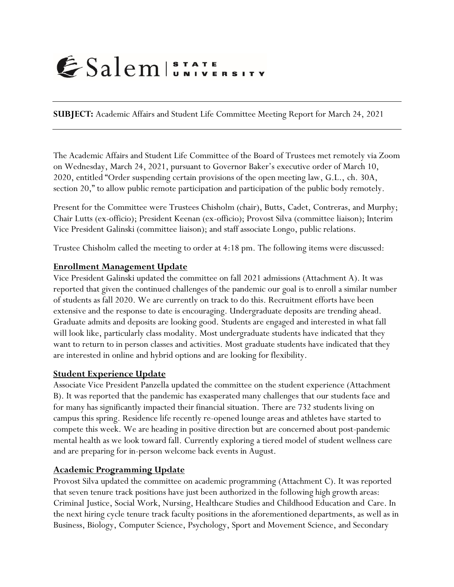# ESalem STATE

**SUBJECT:** Academic Affairs and Student Life Committee Meeting Report for March 24, 2021

The Academic Affairs and Student Life Committee of the Board of Trustees met remotely via Zoom on Wednesday, March 24, 2021, pursuant to Governor Baker's executive order of March 10, 2020, entitled "Order suspending certain provisions of the open meeting law, G.L., ch. 30A, section 20," to allow public remote participation and participation of the public body remotely.

Present for the Committee were Trustees Chisholm (chair), Butts, Cadet, Contreras, and Murphy; Chair Lutts (ex-officio); President Keenan (ex-officio); Provost Silva (committee liaison); Interim Vice President Galinski (committee liaison); and staff associate Longo, public relations.

Trustee Chisholm called the meeting to order at 4:18 pm. The following items were discussed:

### **Enrollment Management Update**

Vice President Galinski updated the committee on fall 2021 admissions (Attachment A). It was reported that given the continued challenges of the pandemic our goal is to enroll a similar number of students as fall 2020. We are currently on track to do this. Recruitment efforts have been extensive and the response to date is encouraging. Undergraduate deposits are trending ahead. Graduate admits and deposits are looking good. Students are engaged and interested in what fall will look like, particularly class modality. Most undergraduate students have indicated that they want to return to in person classes and activities. Most graduate students have indicated that they are interested in online and hybrid options and are looking for flexibility.

## **Student Experience Update**

Associate Vice President Panzella updated the committee on the student experience (Attachment B). It was reported that the pandemic has exasperated many challenges that our students face and for many has significantly impacted their financial situation. There are 732 students living on campus this spring. Residence life recently re-opened lounge areas and athletes have started to compete this week. We are heading in positive direction but are concerned about post-pandemic mental health as we look toward fall. Currently exploring a tiered model of student wellness care and are preparing for in-person welcome back events in August.

## **Academic Programming Update**

Provost Silva updated the committee on academic programming (Attachment C). It was reported that seven tenure track positions have just been authorized in the following high growth areas: Criminal Justice, Social Work, Nursing, Healthcare Studies and Childhood Education and Care. In the next hiring cycle tenure track faculty positions in the aforementioned departments, as well as in Business, Biology, Computer Science, Psychology, Sport and Movement Science, and Secondary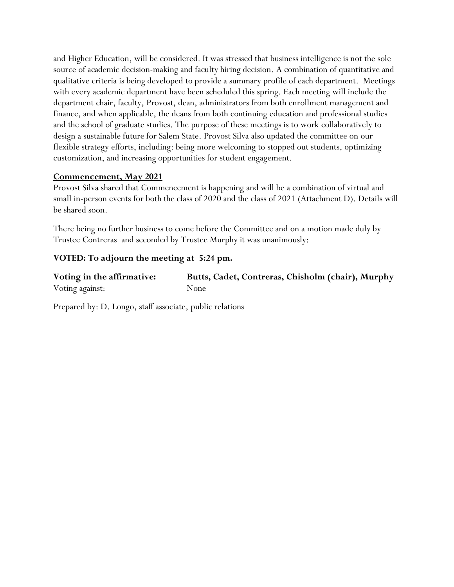and Higher Education, will be considered. It was stressed that business intelligence is not the sole source of academic decision-making and faculty hiring decision. A combination of quantitative and qualitative criteria is being developed to provide a summary profile of each department. Meetings with every academic department have been scheduled this spring. Each meeting will include the department chair, faculty, Provost, dean, administrators from both enrollment management and finance, and when applicable, the deans from both continuing education and professional studies and the school of graduate studies. The purpose of these meetings is to work collaboratively to design a sustainable future for Salem State. Provost Silva also updated the committee on our flexible strategy efforts, including: being more welcoming to stopped out students, optimizing customization, and increasing opportunities for student engagement.

### **Commencement, May 2021**

Provost Silva shared that Commencement is happening and will be a combination of virtual and small in-person events for both the class of 2020 and the class of 2021 (Attachment D). Details will be shared soon.

There being no further business to come before the Committee and on a motion made duly by Trustee Contreras and seconded by Trustee Murphy it was unanimously:

## **VOTED: To adjourn the meeting at 5:24 pm.**

| Voting in the affirmative: | Butts, Cadet, Contreras, Chisholm (chair), Murphy |
|----------------------------|---------------------------------------------------|
| Voting against:            | None                                              |

Prepared by: D. Longo, staff associate, public relations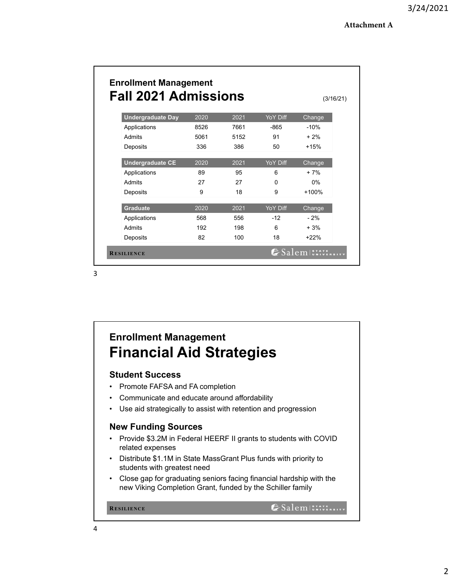| <b>Fall 2021 Admissions</b> |      |      |          |         |
|-----------------------------|------|------|----------|---------|
| <b>Undergraduate Day</b>    | 2020 | 2021 | YoY Diff | Change  |
| Applications                | 8526 | 7661 | $-865$   | $-10%$  |
| Admits                      | 5061 | 5152 | 91       | $+2%$   |
| Deposits                    | 336  | 386  | 50       | $+15%$  |
| <b>Undergraduate CE</b>     | 2020 | 2021 | YoY Diff | Change  |
| Applications                | 89   | 95   | 6        | $+7%$   |
| Admits                      | 27   | 27   | $\Omega$ | $0\%$   |
| Deposits                    | 9    | 18   | 9        | $+100%$ |
| <b>Graduate</b>             | 2020 | 2021 | YoY Diff | Change  |
| Applications                | 568  | 556  | $-12$    | $-2%$   |
| Admits                      | 192  | 198  | 6        | $+3%$   |
| Deposits                    | 82   | 100  | 18       | $+22%$  |

# **Enrollment Management Financial Aid Strategies**

## **Student Success**

- Promote FAFSA and FA completion
- Communicate and educate around affordability
- Use aid strategically to assist with retention and progression

## **New Funding Sources**

- Provide \$3.2M in Federal HEERF II grants to students with COVID related expenses
- Distribute \$1.1M in State MassGrant Plus funds with priority to students with greatest need
- Close gap for graduating seniors facing financial hardship with the new Viking Completion Grant, funded by the Schiller family

```
ESalem STATE SITY
RESILIENCE
```
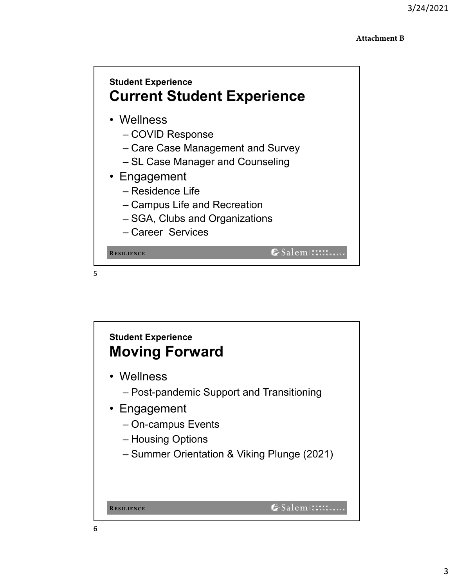### **Attachment B**



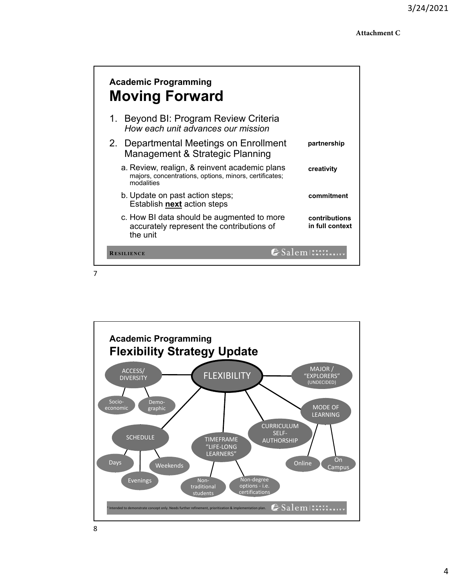| <b>Academic Programming</b><br><b>Moving Forward</b>                                                                  |                                  |
|-----------------------------------------------------------------------------------------------------------------------|----------------------------------|
| Beyond BI: Program Review Criteria<br>1.<br>How each unit advances our mission                                        |                                  |
| 2. Departmental Meetings on Enrollment<br>Management & Strategic Planning                                             | partnership                      |
| a. Review, realign, & reinvent academic plans<br>majors, concentrations, options, minors, certificates;<br>modalities | creativity                       |
| b. Update on past action steps;<br>Establish <b>next</b> action steps                                                 | commitment                       |
| c. How BI data should be augmented to more<br>accurately represent the contributions of<br>the unit                   | contributions<br>in full context |
| <b>RESILIENCE</b>                                                                                                     | $\epsilon$ Salem $\text{Ex.}:$   |

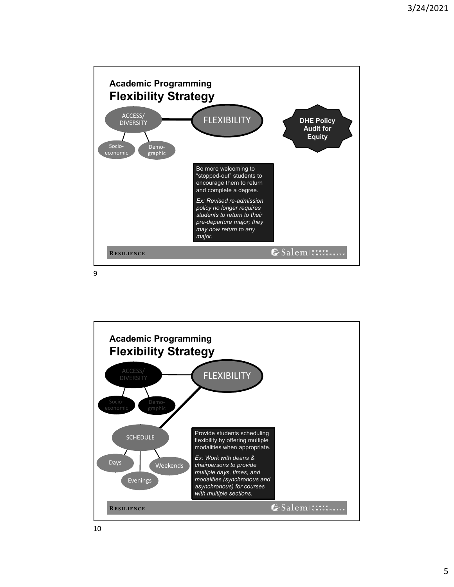

**Academic Programming Flexibility Strategy** ACCESS/ FLEXIBILITY DIVERSITY Provide students scheduling SCHEDULE flexibility by offering multiple modalities when appropriate. *Ex: Work with deans &*  Days Weekends *chairpersons to provide multiple days, times, and*  Evenings *modalities (synchronous and asynchronous) for courses with multiple sections.* SalemISTATE **RESILIENCE**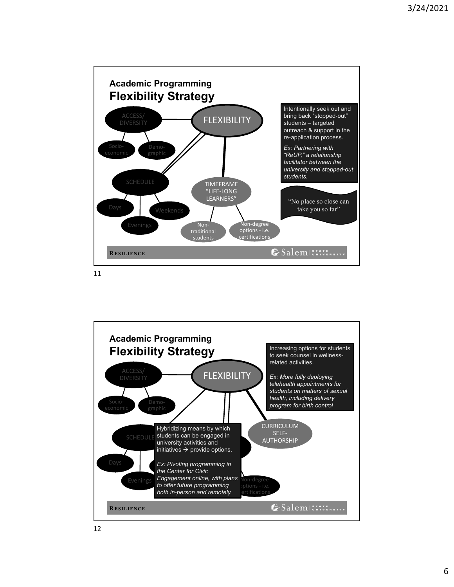

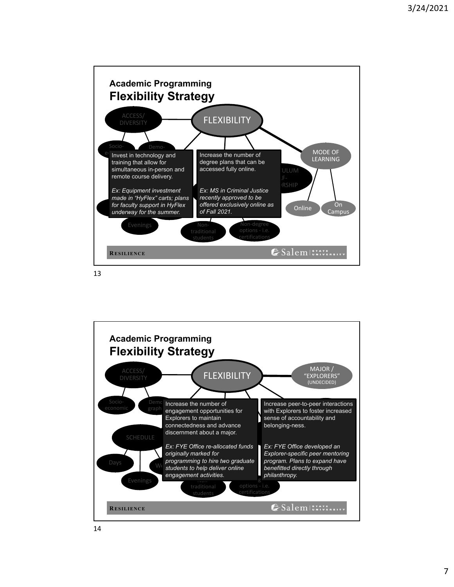